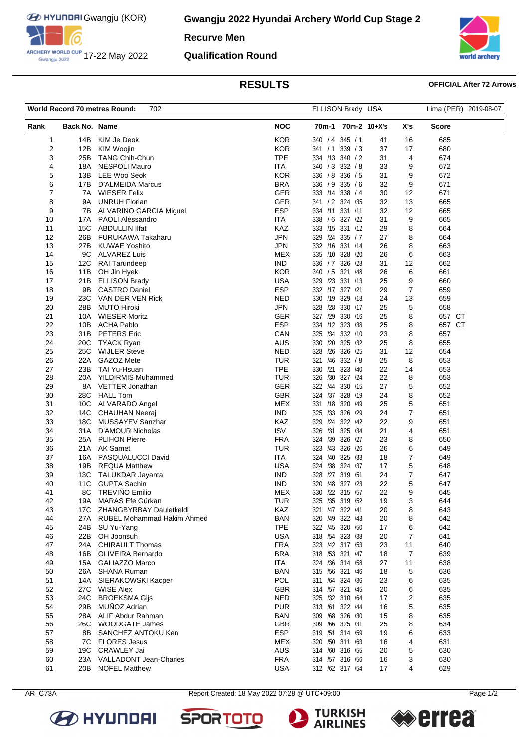

ARCHERY WORLD CUP 17-22 May 2022

**Recurve Men**

## **Qualification Round**



# **RESULTS OFFICIAL After 72 Arrows**

| <b>World Record 70 metres Round:</b><br>702 |                 | ELLISON Brady USA                        |                   |                        |         | Lima (PER) 2019-08-07 |                |              |  |
|---------------------------------------------|-----------------|------------------------------------------|-------------------|------------------------|---------|-----------------------|----------------|--------------|--|
| Rank                                        | Back No. Name   |                                          | <b>NOC</b>        | 70m-1 70m-2 10+X's     |         |                       | X's            | <b>Score</b> |  |
| $\mathbf{1}$                                | 14B             | KIM Je Deok                              | <b>KOR</b>        | 340 / 4 345 / 1        |         | 41                    | 16             | 685          |  |
| $\overline{2}$                              | 12B             | <b>KIM Woojin</b>                        | <b>KOR</b>        | 341 / 1                | 339 / 3 | 37                    | 17             | 680          |  |
| 3                                           | 25B             | <b>TANG Chih-Chun</b>                    | <b>TPE</b>        | 334 /13                | 340 / 2 | 31                    | 4              | 674          |  |
| 4                                           | 18A             | <b>NESPOLI Mauro</b>                     | <b>ITA</b>        | 340 / 3 332 / 8        |         | 33                    | 9              | 672          |  |
| 5                                           | 13B             | <b>LEE Woo Seok</b>                      | <b>KOR</b>        | 336 / 8                | 336 / 5 | 31                    | 9              | 672          |  |
| 6                                           | 17B             | D'ALMEIDA Marcus                         | <b>BRA</b>        | 336 / 9                | 335 / 6 | 32                    | 9              | 671          |  |
| 7                                           | 7A              | <b>WIESER Felix</b>                      | <b>GER</b>        | 333 /14 338 / 4        |         | 30                    | 12             | 671          |  |
| 8                                           | 9A              | <b>UNRUH Florian</b>                     | <b>GER</b>        | 341 / 2 324 / 35       |         | 32                    | 13             | 665          |  |
| 9                                           | 7В              | ALVARINO GARCIA Miguel                   | <b>ESP</b>        | 334 /11                | 331 /11 | 32                    | 12             | 665          |  |
| 10                                          | 17A             | <b>PAOLI Alessandro</b>                  | ITA               | 338 / 6                | 327 /22 | 31                    | 9              | 665          |  |
| 11                                          | 15C             | <b>ABDULLIN IIfat</b>                    | KAZ               | 333 /15                | 331 /12 | 29                    | 8              | 664          |  |
| 12                                          | 26B             | FURUKAWA Takaharu                        | <b>JPN</b>        | 329 /24                | 335 / 7 | 27                    | 8              | 664          |  |
| 13                                          | 27B             | <b>KUWAE Yoshito</b>                     | JPN               | 332 /16 331 /14        |         | 26                    | 8              | 663          |  |
| 14                                          | 9C              | <b>ALVAREZ Luis</b>                      | <b>MEX</b>        | 335 /10 328 /20        |         | 26                    | 6              | 663          |  |
| 15                                          | 12C             | <b>RAI Tarundeep</b>                     | <b>IND</b>        | 336 / 7 326 / 28       |         | 31                    | 12             | 662          |  |
| 16                                          | 11B             | OH Jin Hyek                              | <b>KOR</b>        | 340 / 5                | 321 /48 | 26                    | 6              | 661          |  |
| 17                                          | 21B             | <b>ELLISON Brady</b>                     | <b>USA</b>        | 329 /23                | 331 /13 | 25                    | 9              | 660          |  |
| 18                                          | 9B              | <b>CASTRO Daniel</b>                     | <b>ESP</b>        | 332 /17 327 /21        |         | 29                    | 7              | 659          |  |
| 19                                          | 23C             | VAN DER VEN Rick                         | <b>NED</b>        | 330 /19                | 329 /18 | 24                    | 13             | 659          |  |
| 20                                          | 28B             | <b>MUTO Hiroki</b>                       | <b>JPN</b>        | 328 /28                | 330 /17 | 25                    | 5              | 658          |  |
| 21                                          | 10A             | <b>WIESER Moritz</b>                     | <b>GER</b>        | 327 /29                | 330 /16 | 25                    | 8              | 657 CT       |  |
| 22                                          | 10B             | <b>ACHA Pablo</b>                        | <b>ESP</b>        | 334 /12 323 /38        |         | 25                    | 8              | 657 CT       |  |
| 23                                          | 31B             | <b>PETERS</b> Eric                       | CAN               | /34<br>325             | 332 /10 | 23                    | 8              | 657          |  |
| 24                                          | 20 <sub>C</sub> | <b>TYACK Ryan</b><br><b>WIJLER Steve</b> | <b>AUS</b>        | 330 /20 325 /32        |         | 25                    | 8              | 655          |  |
| 25                                          | 25C<br>22A      | GAZOZ Mete                               | <b>NED</b>        | 328 /26 326 /25<br>/46 | 332 / 8 | 31                    | 12<br>8        | 654          |  |
| 26<br>27                                    | 23B             | TAI Yu-Hsuan                             | TUR<br><b>TPE</b> | 321<br>330 /21         | 323 /40 | 25<br>22              | 14             | 653<br>653   |  |
| 28                                          | 20A             | YILDIRMIS Muhammed                       | <b>TUR</b>        | 326<br>/30             | 327 /24 | 22                    |                | 653          |  |
| 29                                          | 8A              | VETTER Jonathan                          | <b>GER</b>        | /44<br>322             | 330 /15 | 27                    | 8<br>5         | 652          |  |
| 30                                          | 28C             | <b>HALL Tom</b>                          | <b>GBR</b>        | 324 /37                | 328 /19 | 24                    | 8              | 652          |  |
| 31                                          | 10C             | ALVARADO Angel                           | <b>MEX</b>        | 331 /18                | 320 /49 | 25                    | 5              | 651          |  |
| 32                                          | 14C             | <b>CHAUHAN Neeraj</b>                    | <b>IND</b>        | /33<br>325             | 326 /29 | 24                    | 7              | 651          |  |
| 33                                          | 18C             | MUSSAYEV Sanzhar                         | KAZ               | 329 /24                | 322 /42 | 22                    | 9              | 651          |  |
| 34                                          | 31A             | D'AMOUR Nicholas                         | <b>ISV</b>        | 326<br>/31             | 325 /34 | 21                    | 4              | 651          |  |
| 35                                          | 25A             | <b>PLIHON Pierre</b>                     | <b>FRA</b>        | 324 /39                | 326 /27 | 23                    | 8              | 650          |  |
| 36                                          | 21A             | <b>AK Samet</b>                          | TUR               | 323 /43                | 326 /26 | 26                    | 6              | 649          |  |
| 37                                          | 16A             | PASQUALUCCI David                        | <b>ITA</b>        | 324 /40                | 325 /33 | 18                    | 7              | 649          |  |
| 38                                          | 19B             | <b>REQUA Matthew</b>                     | <b>USA</b>        | 324 /38                | 324 /37 | 17                    | 5              | 648          |  |
| 39                                          | 13C             | <b>TALUKDAR Jayanta</b>                  | <b>IND</b>        | 328 /27 319 /51        |         | 24                    | 7              | 647          |  |
| 40                                          | 11C             | <b>GUPTA Sachin</b>                      | <b>IND</b>        | /48<br>320             | 327 /23 | 22                    | 5              | 647          |  |
| 41                                          | 8C              | TREVIÑO Emilio                           | <b>MEX</b>        | 330 /22 315 /57        |         | 22                    | 9              | 645          |  |
| 42                                          | 19A             | MARAS Efe Gürkan                         | TUR               | 325 /35 319 /52        |         | 19                    | 3              | 644          |  |
| 43                                          |                 | 17C ZHANGBYRBAY Dauletkeldi              | KAZ               | 321 /47 322 /41        |         | 20                    | 8              | 643          |  |
| 44                                          | 27A             | <b>RUBEL Mohammad Hakim Ahmed</b>        | <b>BAN</b>        | 320 /49 322 /43        |         | 20                    | 8              | 642          |  |
| 45                                          | 24B             | SU Yu-Yang                               | <b>TPE</b>        | 322 /45 320 /50        |         | 17                    | 6              | 642          |  |
| 46                                          | 22B             | OH Joonsuh                               | <b>USA</b>        | 318 /54 323 /38        |         | 20                    | 7              | 641          |  |
| 47                                          | 24A             | <b>CHIRAULT Thomas</b>                   | <b>FRA</b>        | 323 /42 317 /53        |         | 23                    | 11             | 640          |  |
| 48                                          | 16B             | <b>OLIVEIRA Bernardo</b>                 | <b>BRA</b>        | 318 /53 321 /47        |         | 18                    | $\overline{7}$ | 639          |  |
| 49                                          | 15A             | <b>GALIAZZO Marco</b>                    | ITA               | 324 /36 314 /58        |         | 27                    | 11             | 638          |  |
| 50                                          | 26A             | <b>SHANA Ruman</b>                       | <b>BAN</b>        | 315 /56 321 /46        |         | 18                    | 5              | 636          |  |
| 51                                          | 14A             | SIERAKOWSKI Kacper                       | POL               | 311 /64 324 /36        |         | 23                    | 6              | 635          |  |
| 52                                          | 27C             | <b>WISE Alex</b>                         | <b>GBR</b>        | 314 /57 321 /45        |         | 20                    | 6              | 635          |  |
| 53                                          | 24C             | <b>BROEKSMA Gijs</b>                     | <b>NED</b>        | 325 /32 310 /64        |         | 17                    | 2              | 635          |  |
| 54                                          | 29B             | MUÑOZ Adrian                             | <b>PUR</b>        | 313 /61 322 /44        |         | 16                    | 5              | 635          |  |
| 55                                          | 28A             | ALIF Abdur Rahman                        | <b>BAN</b>        | 309 /68 326 /30        |         | 15                    | 8              | 635          |  |
| 56                                          | 26C             | WOODGATE James                           | <b>GBR</b>        | 309 /66 325 /31        |         | 25                    | 8              | 634          |  |
| 57                                          | 8Β              | SANCHEZ ANTOKU Ken                       | ESP               | 319 /51 314 /59        |         | 19                    | 6              | 633          |  |
| 58                                          | 7C              | <b>FLORES Jesus</b>                      | <b>MEX</b>        | 320 /50 311 /63        |         | 16                    | 4              | 631          |  |
| 59                                          | 19C             | CRAWLEY Jai                              | <b>AUS</b>        | 314 /60 316 /55        |         | 20                    | 5              | 630          |  |
| 60                                          | 23A             | <b>VALLADONT Jean-Charles</b>            | <b>FRA</b>        | 314 /57 316 /56        |         | 16                    | 3              | 630          |  |
| 61                                          | 20B             | <b>NOFEL Matthew</b>                     | <b>USA</b>        | 312 /62 317 /54        |         | 17                    | 4              | 629          |  |

AR\_C73A Report Created: 18 May 2022 07:28 @ UTC+09:00 Page 1/2